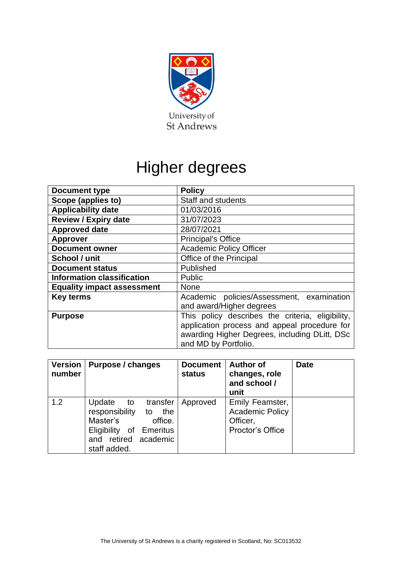

# Higher degrees

| <b>Document type</b>              | <b>Policy</b>                                                                                                                                                             |  |  |
|-----------------------------------|---------------------------------------------------------------------------------------------------------------------------------------------------------------------------|--|--|
| Scope (applies to)                | <b>Staff and students</b>                                                                                                                                                 |  |  |
| <b>Applicability date</b>         | 01/03/2016                                                                                                                                                                |  |  |
| <b>Review / Expiry date</b>       | 31/07/2023                                                                                                                                                                |  |  |
| <b>Approved date</b>              | 28/07/2021                                                                                                                                                                |  |  |
| <b>Approver</b>                   | <b>Principal's Office</b>                                                                                                                                                 |  |  |
| <b>Document owner</b>             | <b>Academic Policy Officer</b>                                                                                                                                            |  |  |
| School / unit                     | Office of the Principal                                                                                                                                                   |  |  |
| <b>Document status</b>            | Published                                                                                                                                                                 |  |  |
| <b>Information classification</b> | <b>Public</b>                                                                                                                                                             |  |  |
| <b>Equality impact assessment</b> | <b>None</b>                                                                                                                                                               |  |  |
| <b>Key terms</b>                  | Academic policies/Assessment, examination<br>and award/Higher degrees                                                                                                     |  |  |
| <b>Purpose</b>                    | This policy describes the criteria, eligibility,<br>application process and appeal procedure for<br>awarding Higher Degrees, including DLitt, DSc<br>and MD by Portfolio. |  |  |

| <b>Version</b><br>number | Purpose / changes                                                                                                                           | <b>Document</b><br><b>status</b> | <b>Author of</b><br>changes, role<br>and school /<br>unit                 | <b>Date</b> |
|--------------------------|---------------------------------------------------------------------------------------------------------------------------------------------|----------------------------------|---------------------------------------------------------------------------|-------------|
| 1.2                      | Update to<br>transfer<br>responsibility to<br>the<br>Master's<br>office.<br>Eligibility of Emeritus<br>and retired academic<br>staff added. | Approved                         | Emily Feamster,<br><b>Academic Policy</b><br>Officer,<br>Proctor's Office |             |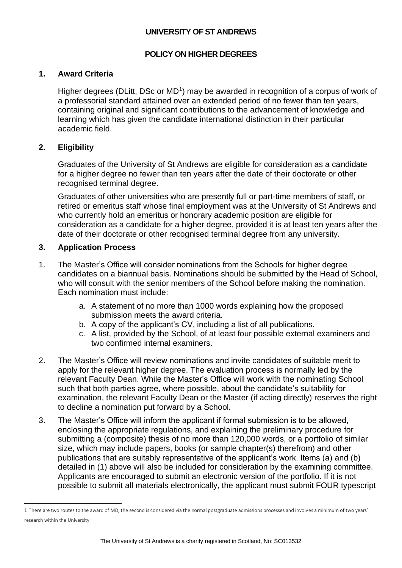# **UNIVERSITY OF ST ANDREWS**

## **POLICY ON HIGHER DEGREES**

#### **1. Award Criteria**

Higher degrees (DLitt, DSc or  $MD<sup>1</sup>$ ) may be awarded in recognition of a corpus of work of a professorial standard attained over an extended period of no fewer than ten years, containing original and significant contributions to the advancement of knowledge and learning which has given the candidate international distinction in their particular academic field.

## **2. Eligibility**

Graduates of the University of St Andrews are eligible for consideration as a candidate for a higher degree no fewer than ten years after the date of their doctorate or other recognised terminal degree.

Graduates of other universities who are presently full or part-time members of staff, or retired or emeritus staff whose final employment was at the University of St Andrews and who currently hold an emeritus or honorary academic position are eligible for consideration as a candidate for a higher degree, provided it is at least ten years after the date of their doctorate or other recognised terminal degree from any university.

#### **3. Application Process**

- 1. The Master's Office will consider nominations from the Schools for higher degree candidates on a biannual basis. Nominations should be submitted by the Head of School, who will consult with the senior members of the School before making the nomination. Each nomination must include:
	- a. A statement of no more than 1000 words explaining how the proposed submission meets the award criteria.
	- b. A copy of the applicant's CV, including a list of all publications.
	- c. A list, provided by the School, of at least four possible external examiners and two confirmed internal examiners.
- 2. The Master's Office will review nominations and invite candidates of suitable merit to apply for the relevant higher degree. The evaluation process is normally led by the relevant Faculty Dean. While the Master's Office will work with the nominating School such that both parties agree, where possible, about the candidate's suitability for examination, the relevant Faculty Dean or the Master (if acting directly) reserves the right to decline a nomination put forward by a School.
- 3. The Master's Office will inform the applicant if formal submission is to be allowed, enclosing the appropriate regulations, and explaining the preliminary procedure for submitting a (composite) thesis of no more than 120,000 words, or a portfolio of similar size, which may include papers, books (or sample chapter(s) therefrom) and other publications that are suitably representative of the applicant's work. Items (a) and (b) detailed in (1) above will also be included for consideration by the examining committee. Applicants are encouraged to submit an electronic version of the portfolio. If it is not possible to submit all materials electronically, the applicant must submit FOUR typescript

<sup>1</sup> There are two routes to the award of MD, the second is considered via the normal postgraduate admissions processes and involves a minimum of two years' research within the University.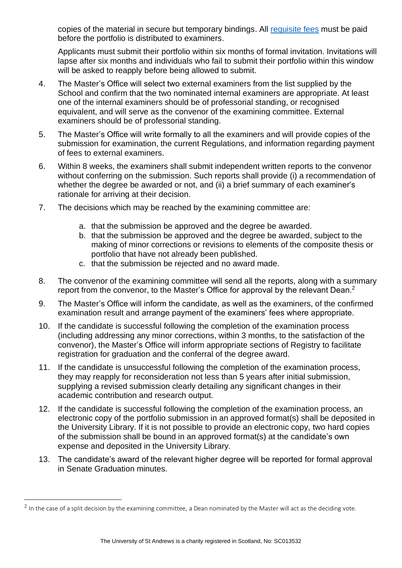copies of the material in secure but temporary bindings. All [requisite fees](http://onlineshop.st-andrews.ac.uk/product-catalogue/university-services-and-facilities/registry/higher-degree-fees/higher-degree-dlitt-dsc-md) must be paid before the portfolio is distributed to examiners.

Applicants must submit their portfolio within six months of formal invitation. Invitations will lapse after six months and individuals who fail to submit their portfolio within this window will be asked to reapply before being allowed to submit.

- 4. The Master's Office will select two external examiners from the list supplied by the School and confirm that the two nominated internal examiners are appropriate. At least one of the internal examiners should be of professorial standing, or recognised equivalent, and will serve as the convenor of the examining committee. External examiners should be of professorial standing.
- 5. The Master's Office will write formally to all the examiners and will provide copies of the submission for examination, the current Regulations, and information regarding payment of fees to external examiners.
- 6. Within 8 weeks, the examiners shall submit independent written reports to the convenor without conferring on the submission. Such reports shall provide (i) a recommendation of whether the degree be awarded or not, and (ii) a brief summary of each examiner's rationale for arriving at their decision.
- 7. The decisions which may be reached by the examining committee are:
	- a. that the submission be approved and the degree be awarded.
	- b. that the submission be approved and the degree be awarded, subject to the making of minor corrections or revisions to elements of the composite thesis or portfolio that have not already been published.
	- c. that the submission be rejected and no award made.
- 8. The convenor of the examining committee will send all the reports, along with a summary report from the convenor, to the Master's Office for approval by the relevant Dean. $^2$
- 9. The Master's Office will inform the candidate, as well as the examiners, of the confirmed examination result and arrange payment of the examiners' fees where appropriate.
- 10. If the candidate is successful following the completion of the examination process (including addressing any minor corrections, within 3 months, to the satisfaction of the convenor), the Master's Office will inform appropriate sections of Registry to facilitate registration for graduation and the conferral of the degree award.
- 11. If the candidate is unsuccessful following the completion of the examination process, they may reapply for reconsideration not less than 5 years after initial submission, supplying a revised submission clearly detailing any significant changes in their academic contribution and research output.
- 12. If the candidate is successful following the completion of the examination process, an electronic copy of the portfolio submission in an approved format(s) shall be deposited in the University Library. If it is not possible to provide an electronic copy, two hard copies of the submission shall be bound in an approved format(s) at the candidate's own expense and deposited in the University Library.
- 13. The candidate's award of the relevant higher degree will be reported for formal approval in Senate Graduation minutes.

 $2$  In the case of a split decision by the examining committee, a Dean nominated by the Master will act as the deciding vote.